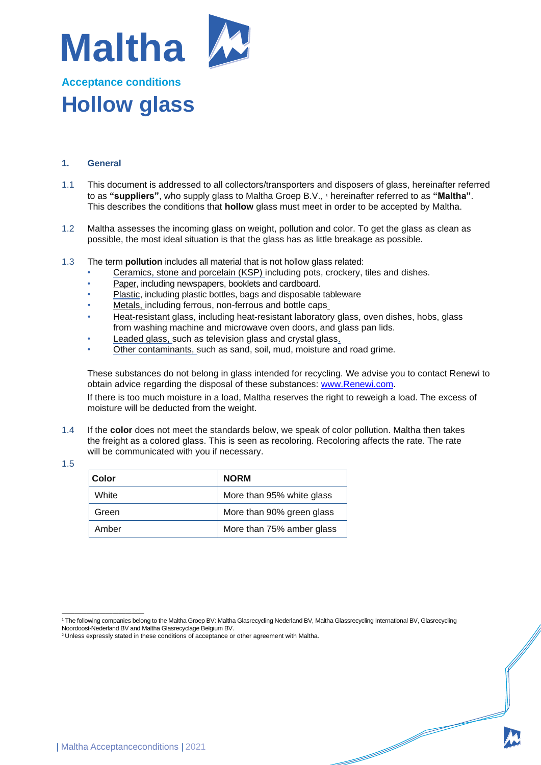

## **Acceptance conditions Hollow glass**

## **1. General**

- 1.1 This document is addressed to all collectors/transporters and disposers of glass, hereinafter referred to as **"suppliers"**, who supply glass to Maltha Groep B.V., **<sup>1</sup>** hereinafter referred to as **"Maltha"**. This describes the conditions that **hollow** glass must meet in order to be accepted by Maltha.
- 1.2 Maltha assesses the incoming glass on weight, pollution and color. To get the glass as clean as possible, the most ideal situation is that the glass has as little breakage as possible.
- 1.3 The term **pollution** includes all material that is not hollow glass related:
	- Ceramics, stone and porcelain (KSP) including pots, crockery, tiles and dishes.
	- Paper, including newspapers, booklets and cardboard.
	- Plastic, including plastic bottles, bags and disposable tableware
	- Metals, including ferrous, non-ferrous and bottle caps
	- Heat-resistant glass, including heat-resistant laboratory glass, oven dishes, hobs, glass from washing machine and microwave oven doors, and glass pan lids.
	- Leaded glass, such as television glass and crystal glass.
	- Other contaminants, such as sand, soil, mud, moisture and road grime.

These substances do not belong in glass intended for recycling. We advise you to contact Renewi to obtain advice regarding the disposal of these substances: [www.Renewi.com.](http://www.renewi.com/)

If there is too much moisture in a load, Maltha reserves the right to reweigh a load. The excess of moisture will be deducted from the weight.

- 1.4 If the **color** does not meet the standards below, we speak of color pollution. Maltha then takes the freight as a colored glass. This is seen as recoloring. Recoloring affects the rate. The rate will be communicated with you if necessary.
- 1.5

| Color | <b>NORM</b>               |
|-------|---------------------------|
| White | More than 95% white glass |
| Green | More than 90% green glass |
| Amber | More than 75% amber glass |

e de la companya de la companya de la companya de la companya de la companya de la companya de la companya de<br>La companya de la companya de la companya de la companya de la companya de la companya de la companya de la co

<sup>—————————————</sup> <sup>1</sup> The following companies belong to the Maltha Groep BV: Maltha Glasrecycling Nederland BV, Maltha Glassrecycling International BV, Glasrecycling Noordoost-Nederland BV and Maltha Glasrecyclage Belgium BV.

<sup>&</sup>lt;sup>2</sup> Unless expressly stated in these conditions of acceptance or other agreement with Maltha.